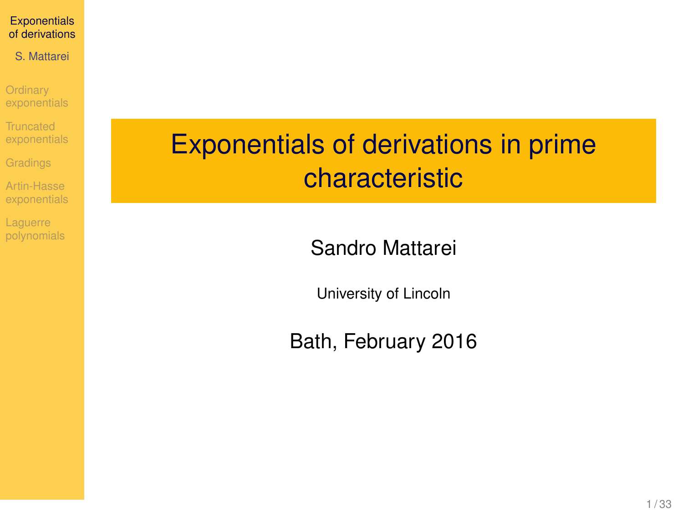<span id="page-0-0"></span>S. Mattarei

**Ordinary** [exponentials](#page-3-0)

**Truncated** [exponentials](#page-7-0)

[Gradings](#page-12-0)

Artin-Hasse

**Laquerre** [polynomials](#page-20-0)

# Exponentials of derivations in prime characteristic

Sandro Mattarei

University of Lincoln

Bath, February 2016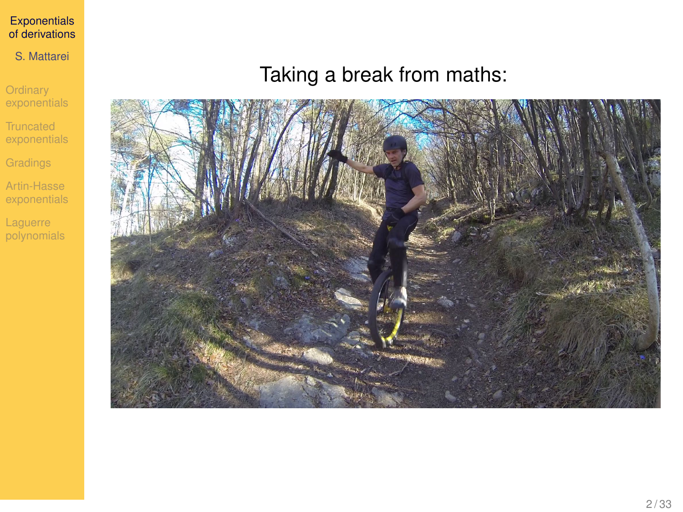### S. Mattarei

**Ordinary** [exponentials](#page-3-0)

Truncated [exponentials](#page-7-0)

**[Gradings](#page-12-0)** 

Artin-Hasse [exponentials](#page-15-0)

Laguerre [polynomials](#page-20-0)

### Taking a break from maths:

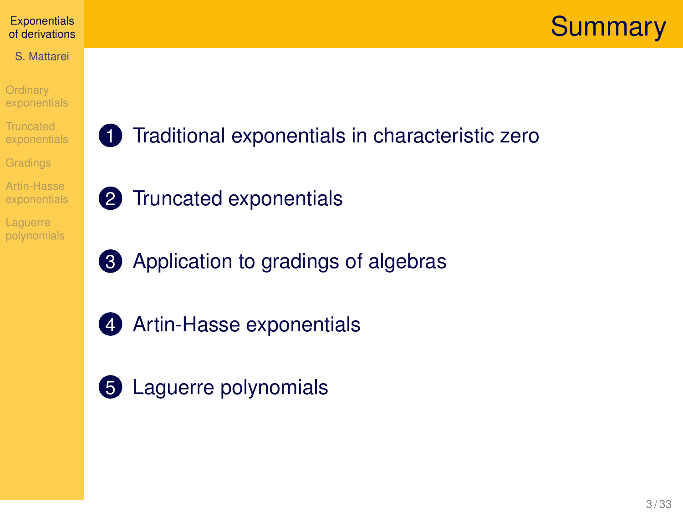## **Summary**

### **[Exponentials](#page-0-0)** of derivations

- S. Mattarei
- **Ordinary** [exponentials](#page-3-0)
- **Truncated** [exponentials](#page-7-0)
- [Gradings](#page-12-0)
- Artin-Hasse
- **Laquerre** [polynomials](#page-20-0)
- 1 [Traditional exponentials in characteristic zero](#page-3-0)
- 2 [Truncated exponentials](#page-7-0)
- **3** [Application to gradings of algebras](#page-12-0)
- 
- 4 [Artin-Hasse exponentials](#page-15-0)
- **5** [Laguerre polynomials](#page-20-0)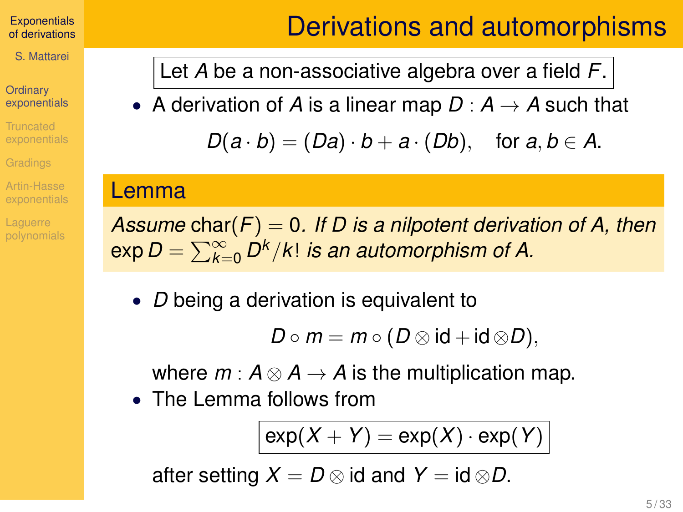S. Mattarei

### **Ordinary** [exponentials](#page-3-0)

Truncated

Artin-Hasse

**Laquerre** 

## Derivations and automorphisms

<span id="page-3-0"></span>Let *A* be a non-associative algebra over a field *F*.

• A derivation of A is a linear map  $D : A \rightarrow A$  such that

 $D(a \cdot b) = (Da) \cdot b + a \cdot (Db)$ , for  $a, b \in A$ .

### Lemma

*Assume* char(*F*) = 0*. If D is a nilpotent derivation of A, then*  $\exp D = \sum_{k=0}^\infty D^k/k!$  *is an automorphism of A.* 

• *D* being a derivation is equivalent to

$$
D\circ m=m\circ(D\otimes \mathrm{id}+\mathrm{id}\otimes D),
$$

where  $m: A \otimes A \rightarrow A$  is the multiplication map.

• The Lemma follows from

$$
\exp(X + Y) = \exp(X) \cdot \exp(Y)
$$

after setting  $X = D \otimes id$  and  $Y = id \otimes D$ .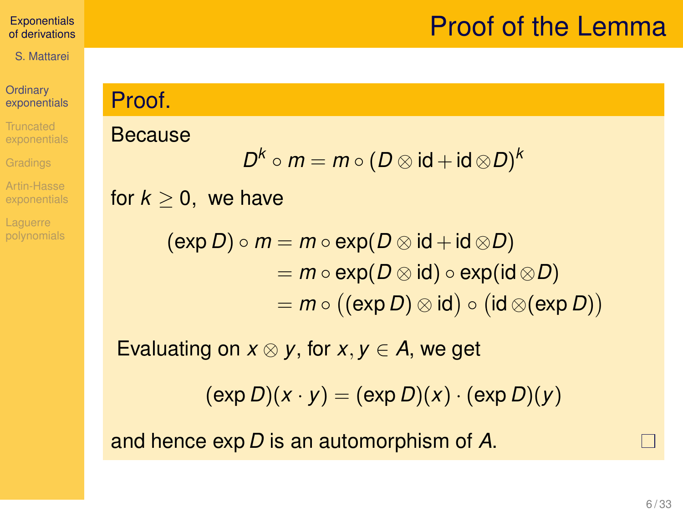## Proof of the Lemma

### **[Exponentials](#page-0-0)** of derivations

S. Mattarei

### **Ordinary** [exponentials](#page-3-0)

**Truncated** [exponentials](#page-7-0)

Artin-Hasse

**Laquerre** [polynomials](#page-20-0)

### Proof.

### Because

$$
D^k\circ m=m\circ (D\otimes \mathsf{id}+\mathsf{id}\otimes D)^k
$$

for  $k > 0$ , we have

$$
(\exp D) \circ m = m \circ \exp(D \otimes \mathrm{id} + \mathrm{id} \otimes D)
$$
  
=  $m \circ \exp(D \otimes \mathrm{id}) \circ \exp(\mathrm{id} \otimes D)$   
=  $m \circ ((\exp D) \otimes \mathrm{id}) \circ (\mathrm{id} \otimes (\exp D))$ 

Evaluating on  $x \otimes y$ , for  $x, y \in A$ , we get

 $(\exp D)(x \cdot y) = (\exp D)(x) \cdot (\exp D)(y)$ 

and hence exp *D* is an automorphism of *A*.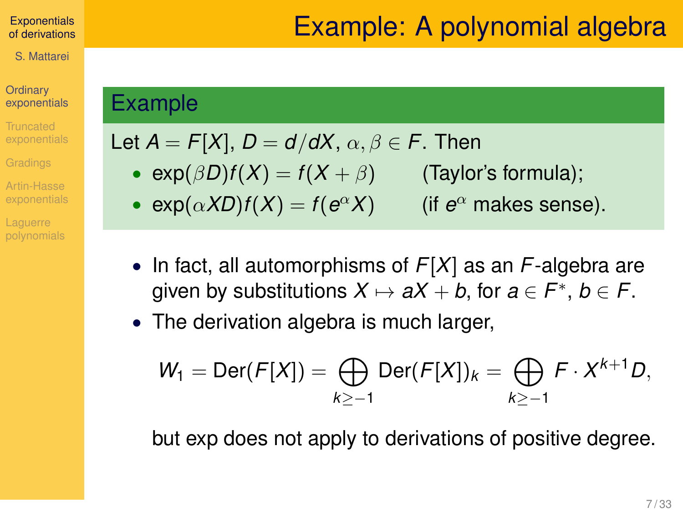### **Ordinary** [exponentials](#page-3-0)

**Truncated** 

Artin-Hasse

**Laquerre** 

### Example

## Let  $A = F[X]$ ,  $D = d/dX$ ,  $\alpha, \beta \in F$ . Then

- $exp(\beta D)f(X) = f(X + \beta)$  (Taylor's formula);
- $exp(\alpha XD)f(X) = f(e^{\alpha}X)$  (if *e* (if  $e^{\alpha}$  makes sense).
- In fact, all automorphisms of *F*[*X*] as an *F*-algebra are given by substitutions  $X \mapsto aX + b$ , for  $a \in F^*$ ,  $b \in F$ .

• The derivation algebra is much larger,

$$
W_1 = \text{Der}(F[X]) = \bigoplus_{k \geq -1} \text{Der}(F[X])_k = \bigoplus_{k \geq -1} F \cdot X^{k+1} D,
$$

but exp does not apply to derivations of positive degree.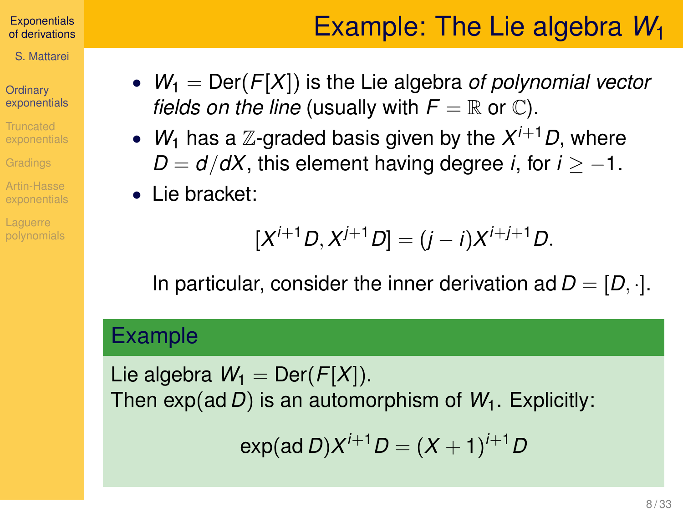S. Mattarei

### **Ordinary** [exponentials](#page-3-0)

Truncated

Artin-Hasse

# Example: The Lie algebra *W*<sup>1</sup>

- $W_1 = \text{Der}(F[X])$  is the Lie algebra *of polynomial vector fields on the line* (usually with  $F = \mathbb{R}$  or  $\mathbb{C}$ ).
- $W_1$  has a  $\mathbb{Z}$ -graded basis given by the  $X^{i+1}D$ , where  $D = d/dX$ , this element having degree *i*, for  $i > -1$ .
- Lie bracket:

$$
[X^{i+1}D, X^{j+1}D] = (j-i)X^{i+j+1}D.
$$

In particular, consider the inner derivation ad  $D = [D, \cdot]$ .

### Example

Lie algebra  $W_1 = \text{Der}(F[X])$ . Then exp(ad *D*) is an automorphism of *W*1. Explicitly:

$$
\exp(\text{ad }D)X^{i+1}D = (X + 1)^{i+1}D
$$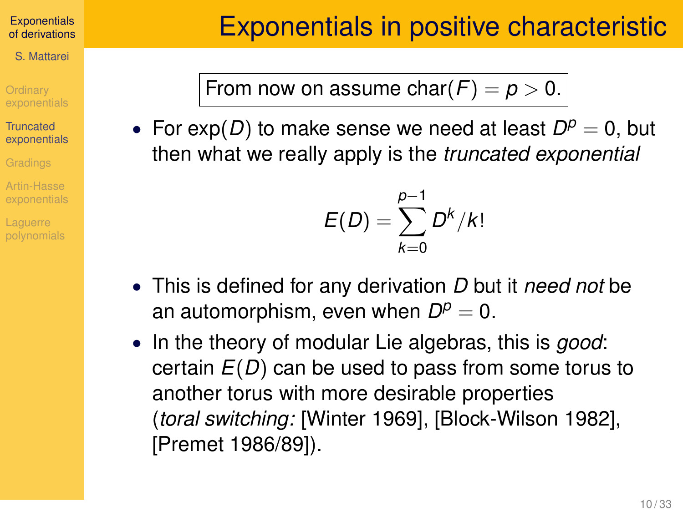<span id="page-7-0"></span>S. Mattarei

**Ordinary** 

**Truncated** [exponentials](#page-7-0)

Artin-Hasse

From now on assume  $char(F) = p > 0$ .

• For  $exp(D)$  to make sense we need at least  $D^p = 0$ , but then what we really apply is the *truncated exponential*

$$
E(D)=\sum_{k=0}^{p-1}D^k/k!
$$

- This is defined for any derivation *D* but it *need not* be an automorphism, even when  $D^p = 0$ .
- In the theory of modular Lie algebras, this is *good*: certain *E*(*D*) can be used to pass from some torus to another torus with more desirable properties (*toral switching:* [Winter 1969], [Block-Wilson 1982], [Premet 1986/89]).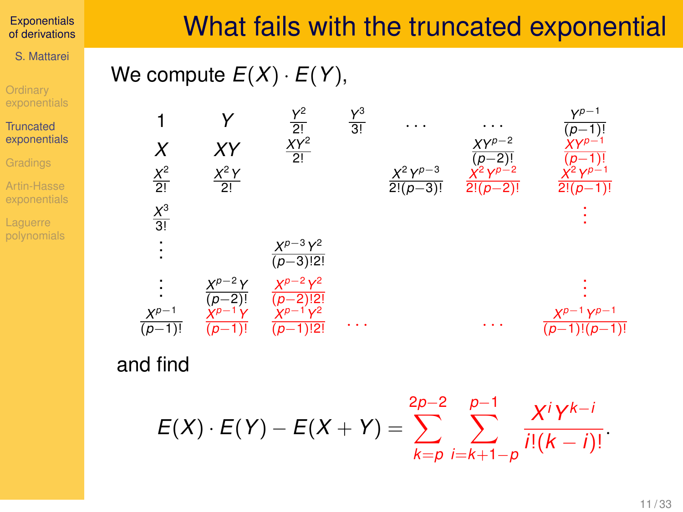S. Mattarei

**Ordinary** [exponentials](#page-3-0)

**Truncated** [exponentials](#page-7-0)

Artin-Hasse [exponentials](#page-15-0)

**Laquerre** [polynomials](#page-20-0)

## What fails with the truncated exponential

## We compute  $E(X) \cdot E(Y)$ ,



### and find

$$
E(X) \cdot E(Y) - E(X + Y) = \sum_{k=p}^{2p-2} \sum_{i=k+1-p}^{p-1} \frac{X^{i}Y^{k-i}}{i!(k-i)!}.
$$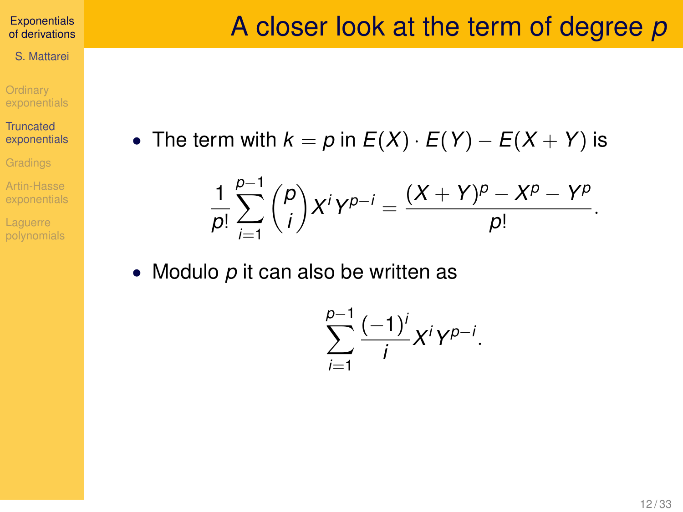S. Mattarei

**Ordinary** [exponentials](#page-3-0)

**Truncated** [exponentials](#page-7-0)

Artin-Hasse

**Laquerre** [polynomials](#page-20-0) • The term with  $k = p$  in  $E(X) \cdot E(Y) - E(X + Y)$  is

$$
\frac{1}{p!} \sum_{i=1}^{p-1} {p \choose i} X^i Y^{p-i} = \frac{(X + Y)^p - X^p - Y^p}{p!}.
$$

• Modulo *p* it can also be written as

$$
\sum_{i=1}^{p-1} \frac{(-1)^i}{i} X^i Y^{p-i}.
$$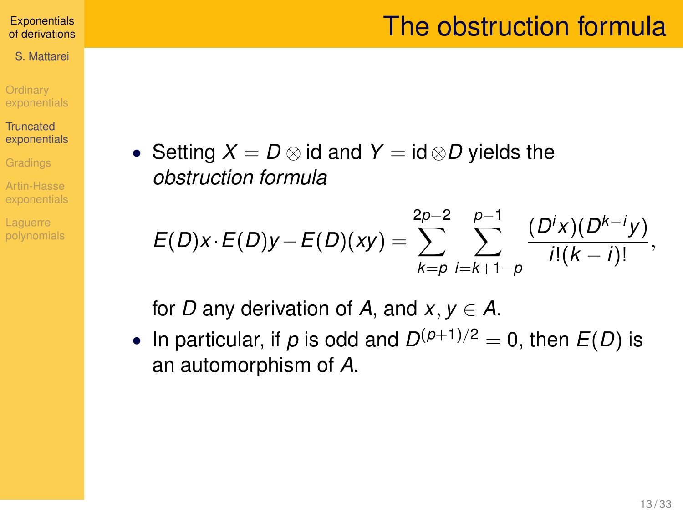## The obstruction formula

#### **[Exponentials](#page-0-0)** of derivations

S. Mattarei

**Ordinary** 

**Truncated** [exponentials](#page-7-0)

Artin-Hasse

**Laquerre** 

• Setting  $X = D \otimes id$  and  $Y = id \otimes D$  yields the *obstruction formula*

$$
E(D)x \cdot E(D)y - E(D)(xy) = \sum_{k=p}^{2p-2} \sum_{i=k+1-p}^{p-1} \frac{(D^i x)(D^{k-i} y)}{i!(k-i)!},
$$

for *D* any derivation of *A*, and  $x, y \in A$ .

• In particular, if  $p$  is odd and  $D^{(p+1)/2} = 0$ , then  $E(D)$  is an automorphism of *A*.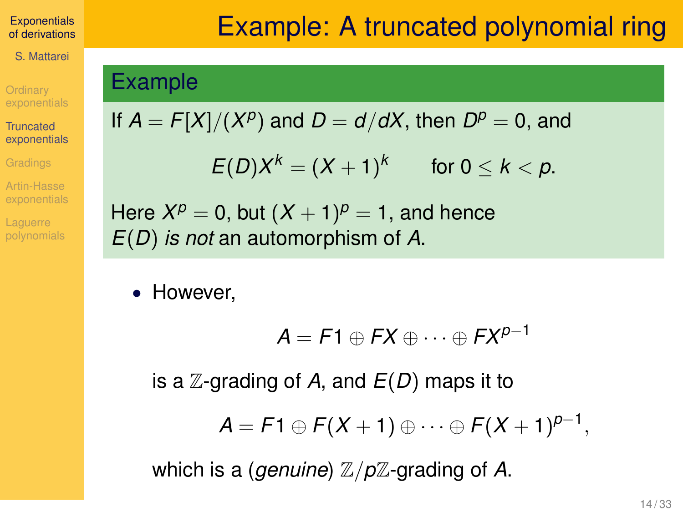S. Mattarei

**Ordinary** 

**Truncated** [exponentials](#page-7-0)

Artin-Hasse

**Laquerre** 

# Example: A truncated polynomial ring

### Example

If 
$$
A = F[X]/(X^p)
$$
 and  $D = d/dX$ , then  $D^p = 0$ , and

$$
E(D)X^k=(X+1)^k \qquad \text{for } 0\leq k
$$

Here  $X^p = 0$ , but  $(X + 1)^p = 1$ , and hence *E*(*D*) *is not* an automorphism of *A*.

• However.

$$
A = F1 \oplus FX \oplus \cdots \oplus FX^{p-1}
$$

is a Z-grading of *A*, and *E*(*D*) maps it to

$$
A = F1 \oplus F(X + 1) \oplus \cdots \oplus F(X + 1)^{p-1},
$$

which is a (*genuine*)  $\mathbb{Z}/p\mathbb{Z}$ -grading of A.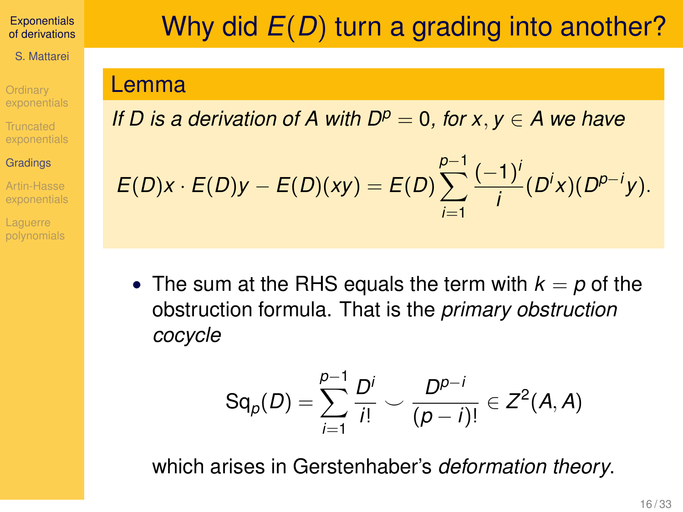S. Mattarei

**Ordinary** Truncated [exponentials](#page-7-0)

### **[Gradings](#page-12-0)**

Artin-Hasse

**Laquerre** 

# <span id="page-12-0"></span>Why did *E*(*D*) turn a grading into another?

### Lemma

*If D is a derivation of A with*  $D^p = 0$ *, for*  $x, y \in A$  *we have* 

$$
E(D)x \cdot E(D)y - E(D)(xy) = E(D) \sum_{i=1}^{p-1} \frac{(-1)^i}{i} (D^i x) (D^{p-i} y).
$$

• The sum at the RHS equals the term with  $k = p$  of the obstruction formula. That is the *primary obstruction cocycle*

$$
Sq_{p}(D) = \sum_{i=1}^{p-1} \frac{D^{i}}{i!} \smile \frac{D^{p-i}}{(p-i)!} \in Z^{2}(A, A)
$$

which arises in Gerstenhaber's *deformation theory*.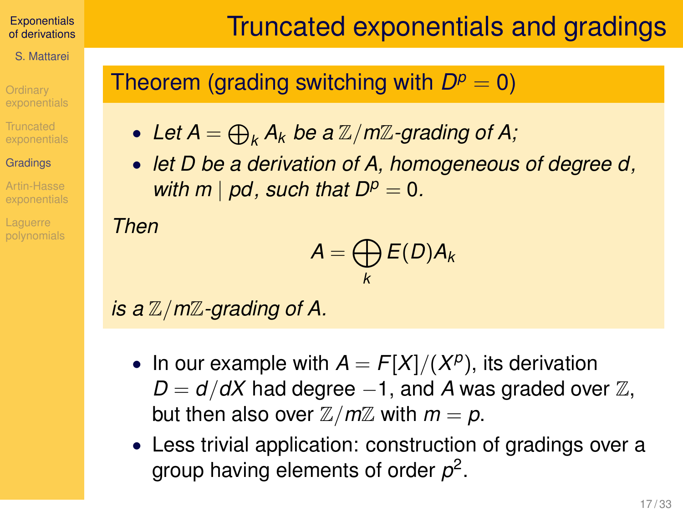S. Mattarei

**Ordinary Truncated** 

### **[Gradings](#page-12-0)**

Artin-Hasse

**Laquerre** 

## Truncated exponentials and gradings

## Theorem (grading switching with  $D^p = 0$ )

- Let  $A = \bigoplus_k A_k$  be a  $\mathbb{Z}/m\mathbb{Z}$ -grading of A;
- *let D be a derivation of A, homogeneous of degree d, with m* | *pd, such that*  $D^p = 0$ *.*

*Then*

$$
A=\bigoplus_k E(D)A_k
$$

*is a* Z/*m*Z*-grading of A.*

- In our example with  $A = F[X]/(X^p)$ , its derivation  $D = d/dX$  had degree −1, and *A* was graded over  $\mathbb{Z}$ , but then also over  $\mathbb{Z}/m\mathbb{Z}$  with  $m = p$ .
- Less trivial application: construction of gradings over a group having elements of order *p* 2 .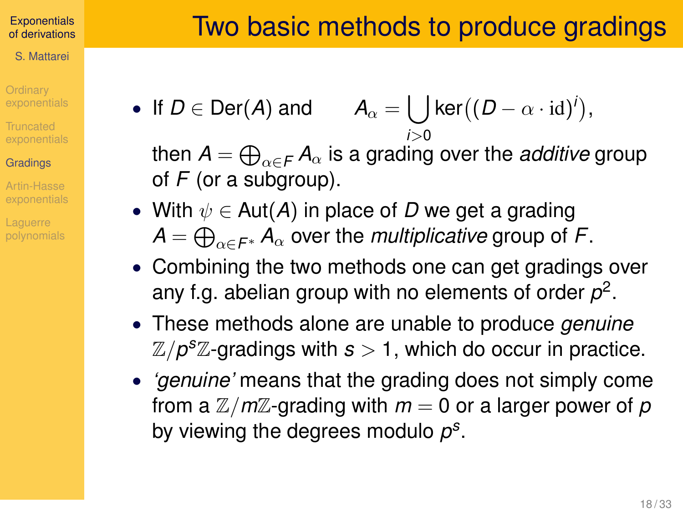- S. Mattarei
- **Ordinary**
- **Truncated**

### **[Gradings](#page-12-0)**

- Artin-Hasse
- **Laquerre**

• If  $D \in \text{Der}(A)$  and  $\int \mathsf{ker}((D - \alpha \cdot \mathrm{id})^i)$ , *i*>0

then  $\pmb{A}=\bigoplus_{\alpha\in\mathcal{F}}\pmb{A}_\alpha$  is a grading over the *additive* group of *F* (or a subgroup).

- With  $\psi \in Aut(A)$  in place of D we get a grading  $\bm A = \bigoplus_{\alpha \in \mathit{F}^\ast} \bm A_\alpha$  over the *multiplicative* group of  $\bm \mathit{F}.$
- Combining the two methods one can get gradings over any f.g. abelian group with no elements of order  $p^2$ .
- These methods alone are unable to produce *genuine*  $\mathbb{Z}/p^s\mathbb{Z}$ -gradings with  $s>1$ , which do occur in practice.
- *'genuine'* means that the grading does not simply come from a  $\mathbb{Z}/m\mathbb{Z}$ -grading with  $m = 0$  or a larger power of p by viewing the degrees modulo *p s* .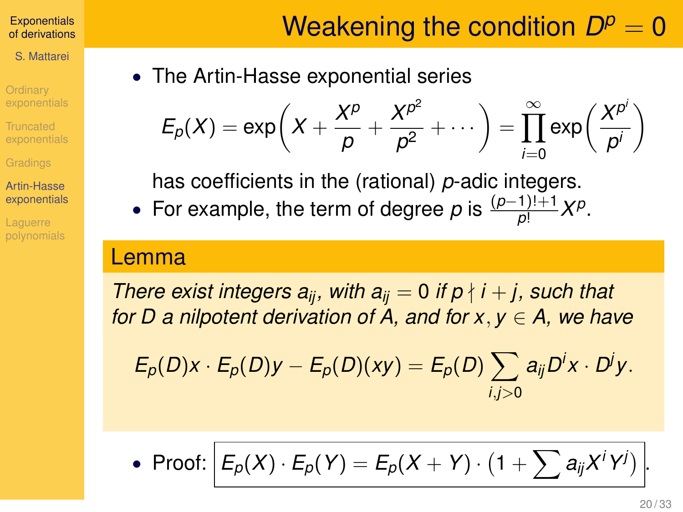S. Mattarei

**Ordinary** 

**Truncated** 

Artin-Hasse [exponentials](#page-15-0)

**Laquerre** 

# Weakening the condition  $D^p = 0$

<span id="page-15-0"></span>• The Artin-Hasse exponential series

$$
E_p(X) = \exp\left(X + \frac{X^p}{p} + \frac{X^{p^2}}{p^2} + \cdots\right) = \prod_{i=0}^{\infty} \exp\left(\frac{X^{p^i}}{p^i}\right)
$$

has coefficients in the (rational) *p*-adic integers.

• For example, the term of degree *p* is  $\frac{(p-1)!+1}{p!}X^p$ .

### Lemma

*There exist integers*  $a_{ii}$ *, with*  $a_{ii} = 0$  *if*  $p \nmid i + j$ *, such that for D a nilpotent derivation of A, and for x*, *y* ∈ *A, we have*

$$
E_p(D)x\cdot E_p(D)y-E_p(D)(xy)=E_p(D)\sum_{i,j>0}a_{ij}D^ix\cdot D^jy.
$$

• Proof:  $E_p(X) \cdot E_p(Y) = E_p(X + Y) \cdot (1 + \sum a_{ij}X^iY^j)$ .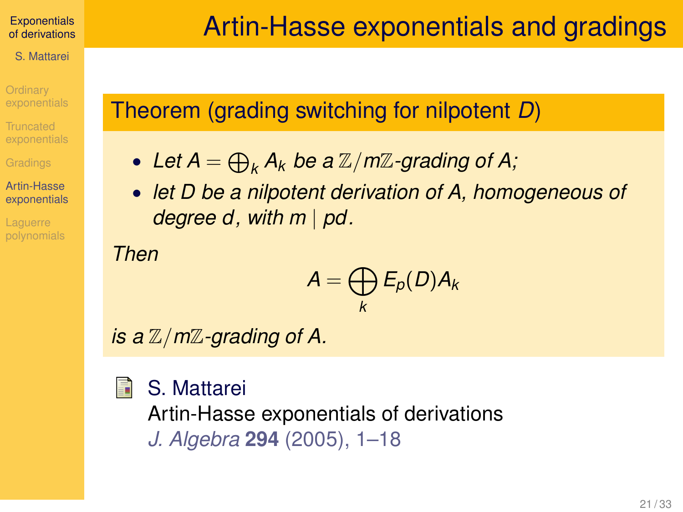S. Mattarei

**Ordinary** 

**Truncated** 

Artin-Hasse [exponentials](#page-15-0)

## Theorem (grading switching for nilpotent *D*)

- Let  $A = \bigoplus_k A_k$  be a  $\mathbb{Z}/m\mathbb{Z}$ -grading of A;
- *let D be a nilpotent derivation of A, homogeneous of degree d, with m* | *pd.*

*Then*

$$
A=\bigoplus_k E_p(D)A_k
$$

*is a* Z/*m*Z*-grading of A.*

#### S. Mattarei 冨

Artin-Hasse exponentials of derivations *J. Algebra* **294** (2005), 1–18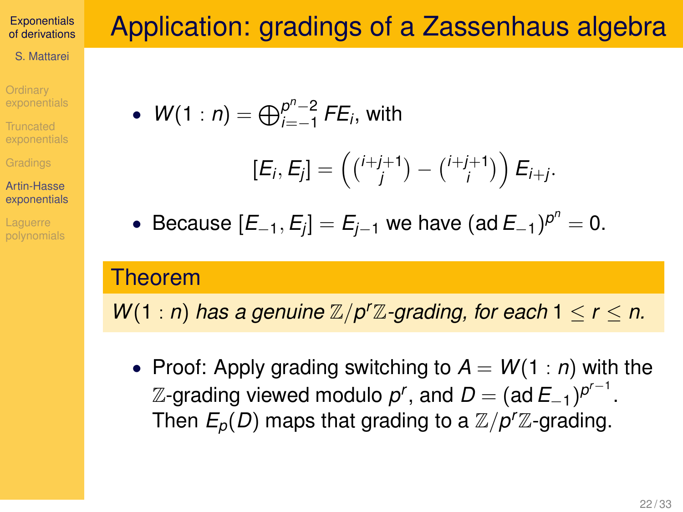- S. Mattarei
- **Ordinary**
- **Truncated**
- 
- Artin-Hasse [exponentials](#page-15-0)
- **Laquerre**

# Application: gradings of a Zassenhaus algebra

• 
$$
W(1:n) = \bigoplus_{i=-1}^{p^n-2} FE_i, \text{ with }
$$

$$
[E_i,E_j]=\left(\tbinom{i+j+1}{j}-\tbinom{i+j+1}{i}\right)E_{i+j}.
$$

• Because  $[E_{-1}, E_j] = E_{j-1}$  we have  $(\text{ad } E_{-1})^{p^n} = 0$ .

## Theorem

*W*(1 : *n*) *has a genuine*  $\mathbb{Z}/p^r\mathbb{Z}$ -grading, for each  $1 \le r \le n$ .

• Proof: Apply grading switching to  $A = W(1:n)$  with the  $\mathbb Z$ -grading viewed modulo  $p^r$ , and  $D = (\operatorname{\mathsf{ad}} E_{-1})^{p^{r-1}}.$ Then  $E_p(D)$  maps that grading to a  $\mathbb{Z}/p^r\mathbb{Z}$ -grading.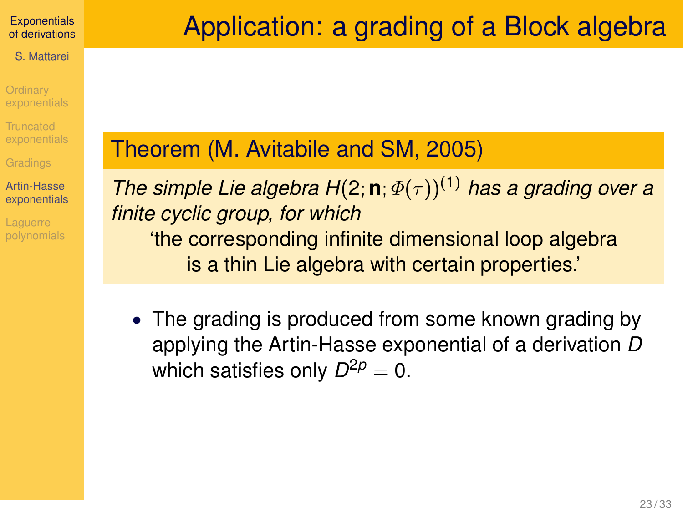S. Mattarei

**Ordinary** 

**Truncated** 

Artin-Hasse [exponentials](#page-15-0)

**Laquerre** 

# Application: a grading of a Block algebra

## Theorem (M. Avitabile and SM, 2005)

*The simple Lie algebra H*(2; **n**;  $\Phi(\tau)$ )<sup>(1)</sup> *has a grading over a finite cyclic group, for which* 'the corresponding infinite dimensional loop algebra is a thin Lie algebra with certain properties.'

• The grading is produced from some known grading by applying the Artin-Hasse exponential of a derivation *D* which satisfies only  $D^{2p}=0.$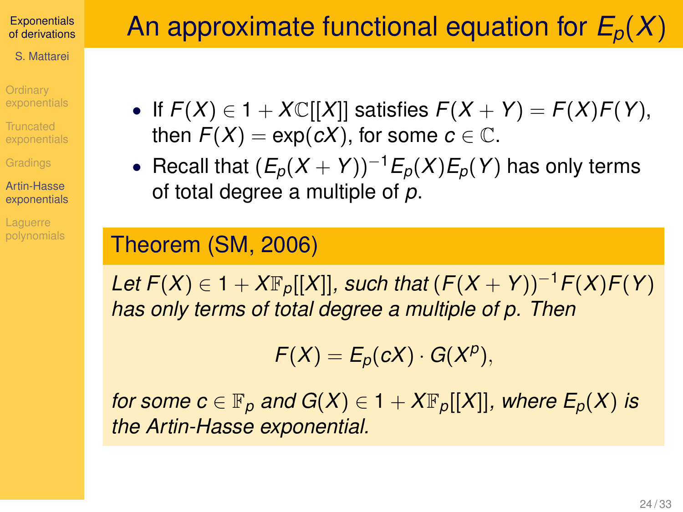S. Mattarei

**Ordinary** 

**Truncated** 

Artin-Hasse [exponentials](#page-15-0)

**Laquerre** 

- If  $F(X) \in 1 + X\mathbb{C}[[X]]$  satisfies  $F(X + Y) = F(X)F(Y)$ , then  $F(X) = \exp(cX)$ , for some  $c \in \mathbb{C}$ .
- Recall that  $(E_p(X + Y))^{-1}E_p(X)E_p(Y)$  has only terms of total degree a multiple of *p*.

### Theorem (SM, 2006)

*Let*  $F(X)$  ∈ 1 +  $X\mathbb{F}_p[[X]]$ *, such that*  $(F(X + Y))^{-1}F(X)F(Y)$ *has only terms of total degree a multiple of p. Then*

 $F(X) = E_p(cX) \cdot G(X^p),$ 

*for some c*  $\in$   $\mathbb{F}_p$  *and*  $G(X) \in 1 + X\mathbb{F}_p[[X]]$ *, where*  $E_p(X)$  *is the Artin-Hasse exponential.*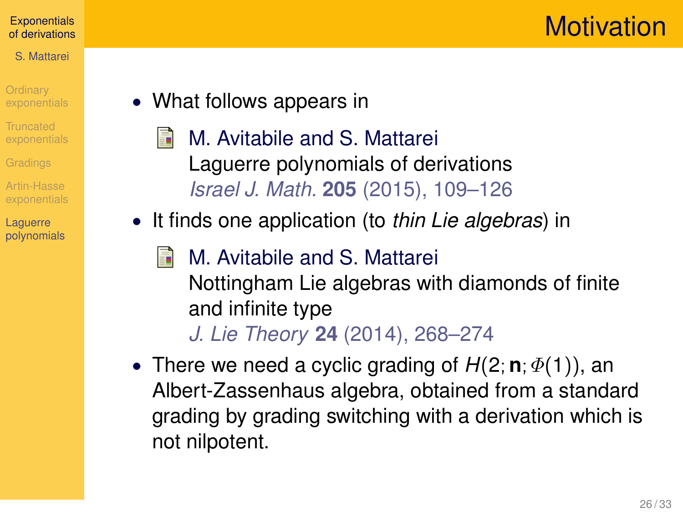## **Motivation**

### **[Exponentials](#page-0-0)** of derivations

### S. Mattarei

- **Ordinary**
- Truncated
- 
- Artin-Hasse
- Laguerre [polynomials](#page-20-0)
- <span id="page-20-0"></span>• What follows appears in
	- M. Avitabile and S. Mattarei 晶 Laguerre polynomials of derivations *Israel J. Math.* **205** (2015), 109–126
- It finds one application (to *thin Lie algebras*) in
	- E. M. Avitabile and S. Mattarei Nottingham Lie algebras with diamonds of finite and infinite type
		- *J. Lie Theory* **24** (2014), 268–274
- There we need a cyclic grading of  $H(2; \mathbf{n}; \Phi(1))$ , an Albert-Zassenhaus algebra, obtained from a standard grading by grading switching with a derivation which is not nilpotent.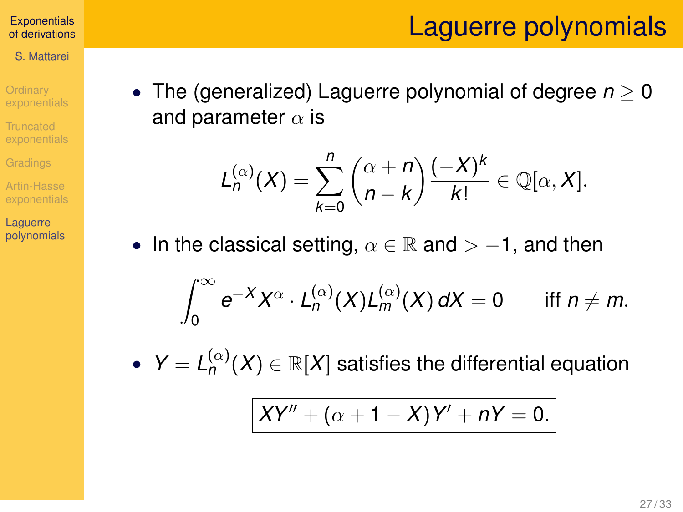## Laguerre polynomials

#### **[Exponentials](#page-0-0)** of derivations

S. Mattarei

**Ordinary** 

**Truncated** 

Artin-Hasse

Laguerre [polynomials](#page-20-0) • The (generalized) Laguerre polynomial of degree *n* ≥ 0 and parameter  $\alpha$  is

$$
L_n^{(\alpha)}(X)=\sum_{k=0}^n\binom{\alpha+n}{n-k}\frac{(-X)^k}{k!}\in\mathbb{Q}[\alpha,X].
$$

• In the classical setting,  $\alpha \in \mathbb{R}$  and  $> -1$ , and then

$$
\int_0^\infty e^{-X} X^\alpha \cdot L_n^{(\alpha)}(X) L_m^{(\alpha)}(X) dX = 0 \quad \text{iff } n \neq m.
$$

•  $Y = L_n^{(\alpha)}$  $\binom{\binom{\alpha}{r}}{n}$   $(X) \in \mathbb{R}[X]$  satisfies the differential equation

$$
XY'' + (\alpha + 1 - X)Y' + nY = 0.
$$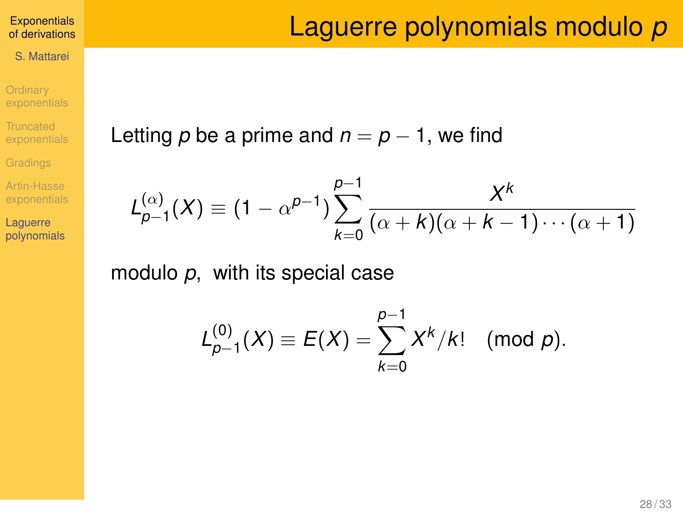### S. Mattarei

**Ordinary** [exponentials](#page-3-0)

**Truncated** [exponentials](#page-7-0)

[Gradings](#page-12-0)

Artin-Hasse [exponentials](#page-15-0)

Laguerre [polynomials](#page-20-0)

## Laguerre polynomials modulo *p*

Letting  $p$  be a prime and  $n = p - 1$ , we find

$$
L_{p-1}^{(\alpha)}(X) \equiv (1 - \alpha^{p-1}) \sum_{k=0}^{p-1} \frac{X^k}{(\alpha + k)(\alpha + k - 1) \cdots (\alpha + 1)}
$$

modulo *p*, with its special case

$$
L_{p-1}^{(0)}(X) \equiv E(X) = \sum_{k=0}^{p-1} X^k / k! \pmod{p}.
$$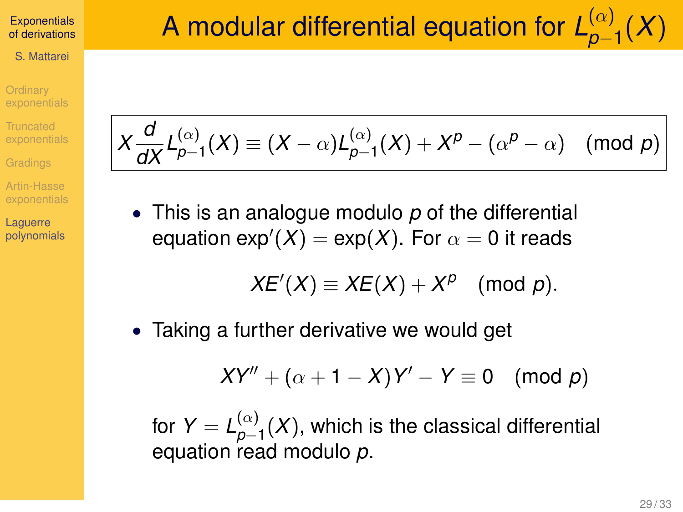S. Mattarei

**Ordinary** 

Truncated

Artin-Hasse

Laguerre [polynomials](#page-20-0)

$$
X\frac{d}{dX}L_{p-1}^{(\alpha)}(X) \equiv (X-\alpha)L_{p-1}^{(\alpha)}(X) + X^p - (\alpha^p - \alpha) \pmod{p}
$$

• This is an analogue modulo *p* of the differential equation  $\textsf{exp}^{\prime} (X) = \textsf{exp} (X).$  For  $\alpha = 0$  it reads

$$
XE'(X) \equiv XE(X) + X^p \pmod{p}.
$$

• Taking a further derivative we would get

$$
XY'' + (\alpha + 1 - X)Y' - Y \equiv 0 \pmod{p}
$$

for  $Y = L_{n-1}^{(\alpha)}$ *p*−1 (*X*), which is the classical differential equation read modulo *p*.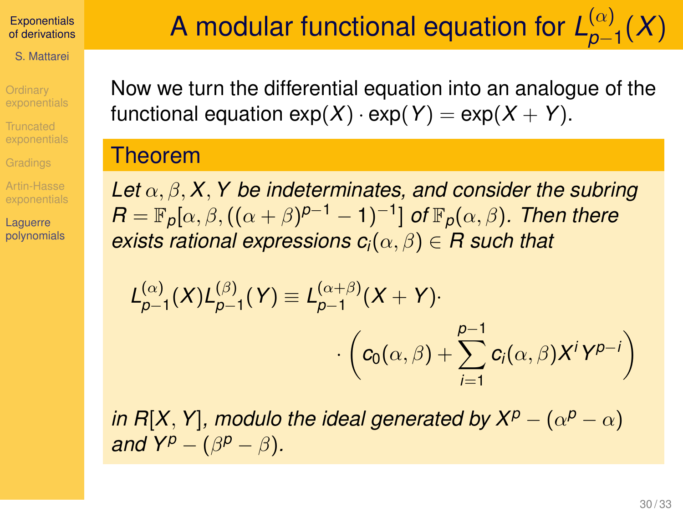S. Mattarei

**Ordinary** 

**Truncated** 

Artin-Hasse

Laguerre [polynomials](#page-20-0) Now we turn the differential equation into an analogue of the functional equation  $exp(X) \cdot exp(Y) = exp(X + Y)$ .

### Theorem

*Let* α, β, *X*, *Y be indeterminates, and consider the subring*  $\mathsf{R}=\mathbb{F}_p[\alpha,\beta,((\alpha+\beta)^{p-1}-1)^{-1}]$  of  $\mathbb{F}_p(\alpha,\beta)$ . Then there *exists rational expressions*  $c_i(\alpha, \beta) \in R$  *such that* 

$$
L_{p-1}^{(\alpha)}(X)L_{p-1}^{(\beta)}(Y) \equiv L_{p-1}^{(\alpha+\beta)}(X+Y) \cdot \left( c_0(\alpha,\beta) + \sum_{i=1}^{p-1} c_i(\alpha,\beta)X^iY^{p-i} \right)
$$

*in R*[X, Y], modulo the ideal generated by  $X^p - (\alpha^p - \alpha)$ *and*  $Y^p - (\beta^p - \beta)$ *.*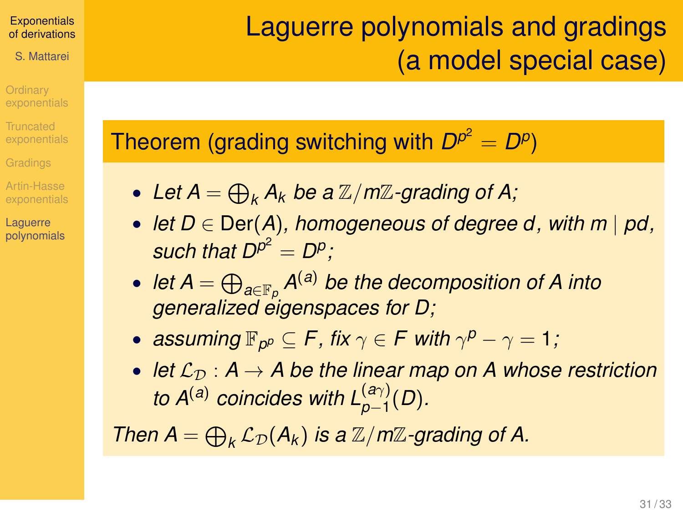S. Mattarei

**Ordinary** 

Truncated

Artin-Hasse

Laguerre [polynomials](#page-20-0)

# Laguerre polynomials and gradings (a model special case)

Theorem (grading switching with  $D^{p^2} = D^p$ )

- Let  $A = \bigoplus_k A_k$  be a  $\mathbb{Z}/m\mathbb{Z}$ -grading of A;
- *let D* ∈ Der(*A*)*, homogeneous of degree d, with m* | *pd,* such that  $D^{p^2} = D^p$ ;
- *let A* = L *a*∈F*<sup>p</sup> A* (*a*) *be the decomposition of A into generalized eigenspaces for D;*
- $\mathsf{assuming}\ \mathbb{F}_{p^p} \subseteq \mathsf{F}$ , fix  $\gamma \in \mathsf{F}$  with  $\gamma^p \gamma = 1$ ;
- *let*  $\mathcal{L}_{\mathcal{D}}$  :  $A \rightarrow A$  be the linear map on A whose restriction *to*  $A^{(a)}$  *coincides with*  $L_{p-1}^{(a\gamma)}(D)$ *.*

*Then*  $A = \bigoplus_k \mathcal{L}_{\mathcal{D}}(A_k)$  *is a*  $\mathbb{Z}/m\mathbb{Z}$ *-grading of A.*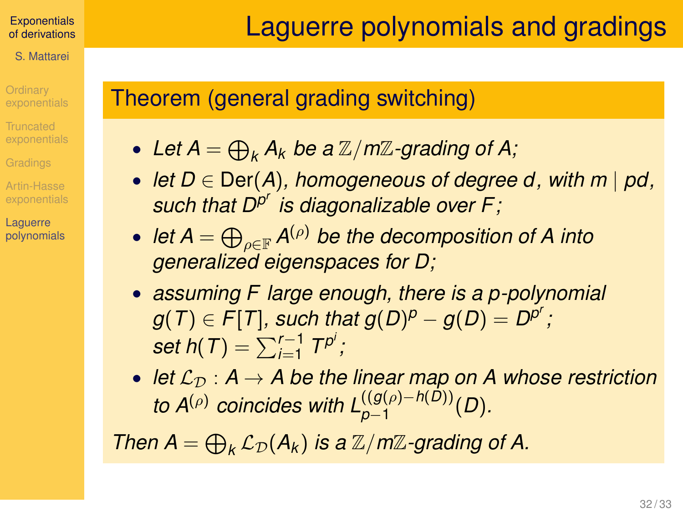### **[Exponentials](#page-0-0)** of derivations S. Mattarei

**Ordinary** Truncated

Artin-Hasse Laguerre [polynomials](#page-20-0) Laguerre polynomials and gradings

## Theorem (general grading switching)

- Let  $A = \bigoplus_k A_k$  be a  $\mathbb{Z}/m\mathbb{Z}$ -grading of A;
- *let D* ∈ Der(*A*)*, homogeneous of degree d, with m* | *pd, such that D<sup>p</sup> r is diagonalizable over F;*
- $\bullet \,\,$  *let A*  $=$   $\bigoplus_{\rho \in \mathbb{F}} \mathcal{A}^{(\rho)}$  *be the decomposition of A into generalized eigenspaces for D;*
- *assuming F large enough, there is a p-polynomial*  $g(T) \in F[T]$ *, such that*  $g(D)^p - g(D) = D^{p^r}$  *;*  $\textit{set h}(T) = \sum_{i=1}^{r-1} T^{p^i}$  ;
- *let*  $\mathcal{L}_D$  :  $A \rightarrow A$  be the linear map on A whose restriction *to A*<sup>( $\rho$ ) *coincides with L* $_{p-1}^{((g(\rho)-h(D))}(D)$ *.*</sup>

*Then*  $A = \bigoplus_k \mathcal{L}_{\mathcal{D}}(A_k)$  *is a*  $\mathbb{Z}/m\mathbb{Z}$ *-grading of A.*